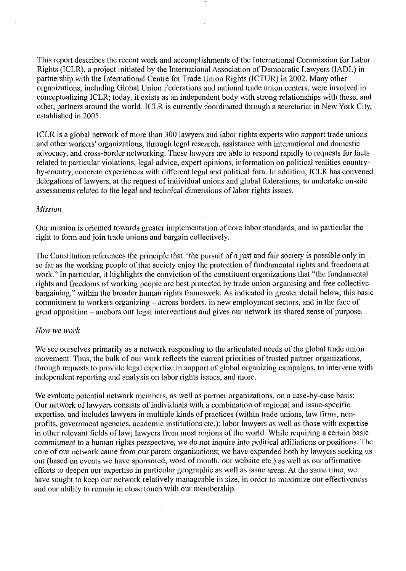This report describes the recent work and accomplishments of the International Commission for Labor Rights (ICLR), a project initiated by the International Association of Democratic Lawyers (IADL) in partnership with the International Centre for Trade Union Rights (ICTUR) in 2002. Many other organizations, including Global Union Federations and national trade union centers, were involved in conceptualizing ICLR; today, it exists as an independent body with strong relationships with these, and other, partners around the world. ICLR is currently coordinated through a secretariat in New York City, established in 2005.

ICLR is a global network of more than 300 lawyers and labor rights experts who support trade unions and other workers' organizations, through legal research, assistance with international and domestic advocacy, and cross-border networking. These lawyers are able to respond rapidly to requests for facts related to particular violations, legal advice, expert opinions, information on political realities countryby-country, concrete experiences with different legal and political fora. In addition, ICLR has convened delegations of lawyers, at the request of individual unions and global federations, to undertake on-site assessments related to the legal and technical dimensions of labor rights issues.

## **Mission**

 $\bar{z}$ 

Our mission is oriented towards greater implementation of core labor standards, and in particular the right to form and join trade unions and bargain collectively.

The Constitution references the principle that "the pursuit of a just and fair society is possible only in so far as the working people of that society enjoy the protection of fundamental rights and fieedoms at work." In particular, it highlights the conviction of the constituent organizations that "the fundamental rights and fieedoms of working people are best protected by trade union organising and free collective bargaining," within the broader human rights framework. As indicated in greater detail below, this basic commitment to workers organizing – across borders, in new employment sectors, and in the face of great opposition – anchors our legal interventions and gives our network its shared sense of purpose.

## How we work

We see ourselves primarily as a network responding to the articulated needs of the global trade union movement. Thus, the bulk of our work reflects the current priorities of trusted partner organizations, through requests to provide legal expertise in support of global organizing campaigns, to intervene with independent reporting and analysis on labor rights issues, and more.

We evaluate potential network members, as well as partner organizations, on a case-by-case basis: Our network of lawyers consists of individuals with a combination of regional and issue-specific expertise, and includes lawyers in multiple kinds of practices (within trade unions, law firms, nonprofits, government agencies, academic institutions etc.); labor lawyers as well as those with expertise in other relevant fields of law; lawyers from most regions of the world. While requiring a certain basic commitment to a human rights perspective, we do not inquire into political affiliations or positions. The core of our network came from our parent organizations; we have expanded both by lawyers seeking us out (based on events we have sponsored, word of mouth, our website etc.) as well as our affirmative efforts to deepen our expertise in particular geographic as well as issue areas. At the same time, we have sought to keep our network relatively manageable in size, in order to maximize our effectiveness and our ability to remain in close touch with our membership.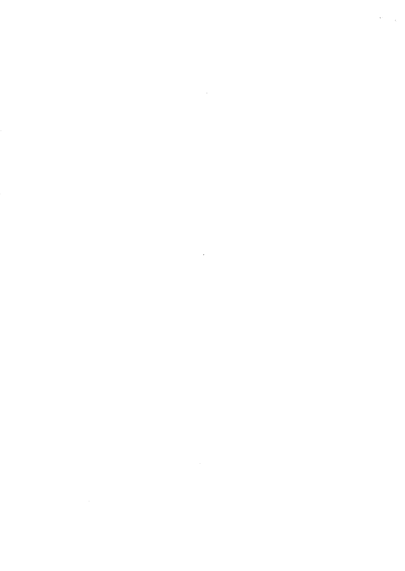$\label{eq:2.1} \frac{d\mathbf{r}}{d\mathbf{r}} = \frac{1}{\mathbf{r}} \frac{d\mathbf{r}}{d\mathbf{r}}$  $\label{eq:2.1} \frac{1}{\sqrt{2}}\int_{0}^{\infty}\frac{1}{\sqrt{2\pi}}\left(\frac{1}{\sqrt{2\pi}}\right)^{2\alpha} \frac{1}{\sqrt{2\pi}}\int_{0}^{\infty}\frac{1}{\sqrt{2\pi}}\left(\frac{1}{\sqrt{2\pi}}\right)^{\alpha} \frac{1}{\sqrt{2\pi}}\frac{1}{\sqrt{2\pi}}\int_{0}^{\infty}\frac{1}{\sqrt{2\pi}}\frac{1}{\sqrt{2\pi}}\frac{1}{\sqrt{2\pi}}\frac{1}{\sqrt{2\pi}}\frac{1}{\sqrt{2\pi}}\frac{1}{\sqrt{2\pi}}$  $\label{eq:2.1} \frac{1}{\sqrt{2}}\left(\frac{1}{\sqrt{2}}\right)^{2} \left(\frac{1}{\sqrt{2}}\right)^{2} \left(\frac{1}{\sqrt{2}}\right)^{2} \left(\frac{1}{\sqrt{2}}\right)^{2} \left(\frac{1}{\sqrt{2}}\right)^{2} \left(\frac{1}{\sqrt{2}}\right)^{2} \left(\frac{1}{\sqrt{2}}\right)^{2} \left(\frac{1}{\sqrt{2}}\right)^{2} \left(\frac{1}{\sqrt{2}}\right)^{2} \left(\frac{1}{\sqrt{2}}\right)^{2} \left(\frac{1}{\sqrt{2}}\right)^{2} \left(\$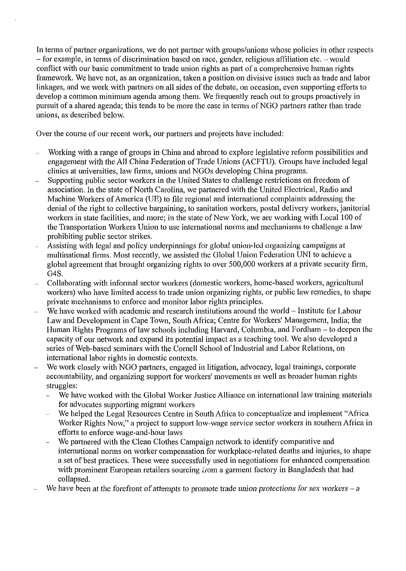In terms of partner organizations, we do not partner with groups/unions whose policies in other respects  $-$  for example, in terms of discrimination based on race, gender, religious affiliation etc.  $-$  would conflict with our basic commitment to trade union rights as part of a comprehensive human rights framework. We have not, as an organization, taken a position on divisive issues such as trade and labor linkages, and we work with partners on all sides of the debate, on occasion, even supporting efforts to develop a common minimum agenda among them. We frequently reach out to groups proactively in pursuit of a shared agenda; this tends to be more the case in terms of NGO partners rather than trade unions, as described below.

Over the course of our recent work, our partners and projects have included:

- Working with a range of groups in China and abroad to explore legislative reform possibilities and engagement with the All China Federation of Trade Unions (ACFTU). Groups have included legal clinics at universities, law firms, unions and NGOs developing China programs.
- Supporting public sector workers in the United States to challenge restrictions on freedom of association. In the state of North Carolina, we partnered with the United Electrical, Radio and Machine Workers of America (UE) to file regional and international complaints addressing the denial of the right to collective bargaining, to sanitation workers, postal delivery workers, janitorial workers in state facilities, and more; in the state of New York, we are working with Local 100 of the Transportation Workers Union to use international norms and mechanisms to challenge a law prohibiting public sector strikes.
- Assisting with legal and policy underpinnings for global union-led organizing campaigns at multinational firms. Most recently, we assisted the Global Union Federation UN1 to achieve a global agreement that brought organizing rights to over 500,000 workers at a private security firm, G4S.
- Collaborating with informal sector workers (domestic workers, home-based workers, agricultural workers) who have limited access to trade union organizing rights, or public law remedies, to shape private mechanisms to enforce and monitor labor rights principles.
- We have worked with academic and research institutions around the world Institute for Labour Law and Development in Cape Town, South Africa; Centre for Workers' Management, India; the Human Rights Programs of law schools including Harvard, Columbia, and Fordham - to deepen the capacity of our network and expand its potential impact as a teaching tool. We also developed a series of Web-based seminars with the Cornell School of Industrial and Labor Relations, on international labor rights in domestic contexts.
- We work closely with NGO partners, engaged in litigation, advocacy, legal trainings, corporate accountability, and organizing support for workers' movements as well as broader human rights struggles:
	- We have worked with the Global Worker Justice Alliance on international law training materials
	- for advocates supporting migrant workers<br>We helped the Legal Resources Centre in South Africa to conceptualize and implement "Africa Worker Rights Now," a project to support low-wage service sector workers in southern Africa in efforts to enforce wage-and-hour laws<br>We partnered with the Clean Clothes Campaign network to identify comparative and
	- international norms on worker compensation for workplace-related deaths and injuries, to shape a set of best practices. These were successfully used in negotiations for enhanced compensation with prominent European retailers sourcing from a garment factory in Bangladesh that had collapsed.

We have been at the forefront of attempts to promote trade union protections for sex workers  $-a$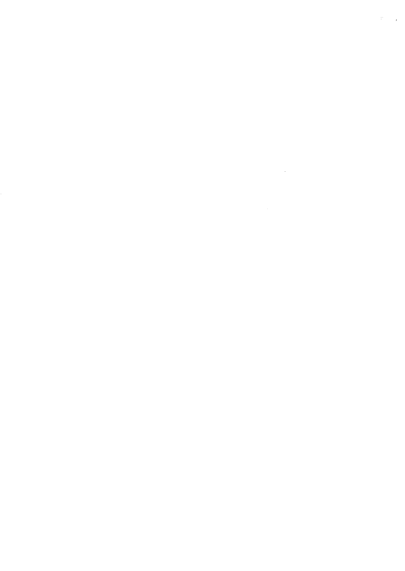$\label{eq:2.1} \frac{1}{\sqrt{2}}\left(\frac{1}{\sqrt{2}}\right)^{2} \left(\frac{1}{\sqrt{2}}\right)^{2} \left(\frac{1}{\sqrt{2}}\right)^{2} \left(\frac{1}{\sqrt{2}}\right)^{2} \left(\frac{1}{\sqrt{2}}\right)^{2} \left(\frac{1}{\sqrt{2}}\right)^{2} \left(\frac{1}{\sqrt{2}}\right)^{2} \left(\frac{1}{\sqrt{2}}\right)^{2} \left(\frac{1}{\sqrt{2}}\right)^{2} \left(\frac{1}{\sqrt{2}}\right)^{2} \left(\frac{1}{\sqrt{2}}\right)^{2} \left(\$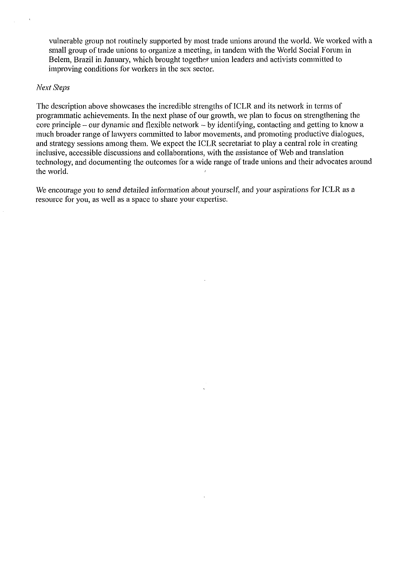vulnerable group not routinely supported by most trade unions around the world. We worked with a small group of trade unions to organize a meeting, in tandem with the World Social Forum in Belem, Brazil in January, which brought together union leaders and activists committed to improving conditions for workers in the sex sector.

## **Akxt** *Steps*

The description above showcases the incredible strengths of ICLR and its network in terms of programmatic achievements. In the next phase of our growth, we plan to focus on strengthening the core principle – our dynamic and flexible network – by identifying, contacting and getting to know a much broader range of lawyers comnitted to labor movements, and promoting productive dialogues, and strategy sessions among them. We expect the ICLR secretariat to play a central role in creating inclusive, accessible discussions and collaborations, with the assistance of Web and translation technology, and documenting the outcomes for a wide range of trade unions and their advocates around the world.

We encourage you to send detailed information about yourself, and your aspirations for ICLR as a resource for you, as well as a space to share your expertise.